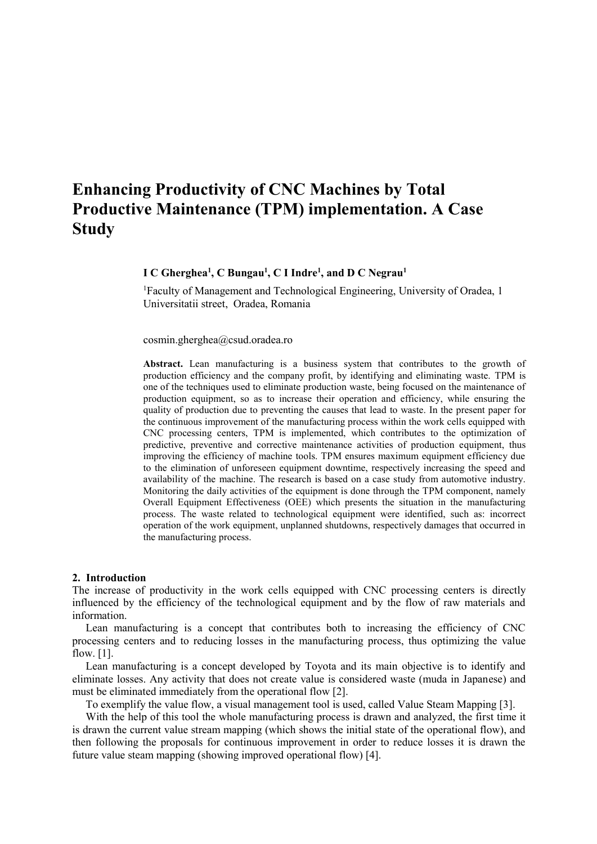# **Enhancing Productivity of CNC Machines by Total Productive Maintenance (TPM) implementation. A Case Study**

## **I C Gherghea<sup>1</sup> , C Bungau<sup>1</sup> , C I Indre<sup>1</sup> , and D C Negrau<sup>1</sup>**

<sup>1</sup>Faculty of Management and Technological Engineering, University of Oradea, 1 Universitatii street, Oradea, Romania

cosmin.gherghea@csud.oradea.ro

**Abstract.** Lean manufacturing is a business system that contributes to the growth of production efficiency and the company profit, by identifying and eliminating waste. TPM is one of the techniques used to eliminate production waste, being focused on the maintenance of production equipment, so as to increase their operation and efficiency, while ensuring the quality of production due to preventing the causes that lead to waste. In the present paper for the continuous improvement of the manufacturing process within the work cells equipped with CNC processing centers, TPM is implemented, which contributes to the optimization of predictive, preventive and corrective maintenance activities of production equipment, thus improving the efficiency of machine tools. TPM ensures maximum equipment efficiency due to the elimination of unforeseen equipment downtime, respectively increasing the speed and availability of the machine. The research is based on a case study from automotive industry. Monitoring the daily activities of the equipment is done through the TPM component, namely Overall Equipment Effectiveness (OEE) which presents the situation in the manufacturing process. The waste related to technological equipment were identified, such as: incorrect operation of the work equipment, unplanned shutdowns, respectively damages that occurred in the manufacturing process.

#### **2. Introduction**

The increase of productivity in the work cells equipped with CNC processing centers is directly influenced by the efficiency of the technological equipment and by the flow of raw materials and information.

Lean manufacturing is a concept that contributes both to increasing the efficiency of CNC processing centers and to reducing losses in the manufacturing process, thus optimizing the value flow. [1].

Lean manufacturing is a concept developed by Toyota and its main objective is to identify and eliminate losses. Any activity that does not create value is considered waste (muda in Japanese) and must be eliminated immediately from the operational flow [2].

To exemplify the value flow, a visual management tool is used, called Value Steam Mapping [3].

With the help of this tool the whole manufacturing process is drawn and analyzed, the first time it is drawn the current value stream mapping (which shows the initial state of the operational flow), and then following the proposals for continuous improvement in order to reduce losses it is drawn the future value steam mapping (showing improved operational flow) [4].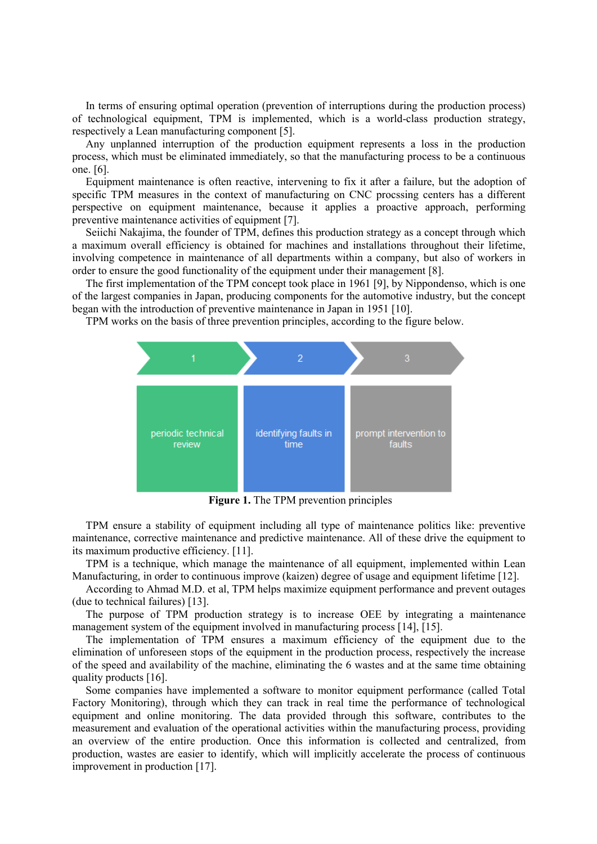In terms of ensuring optimal operation (prevention of interruptions during the production process) of technological equipment, TPM is implemented, which is a world-class production strategy, respectively a Lean manufacturing component [5].

Any unplanned interruption of the production equipment represents a loss in the production process, which must be eliminated immediately, so that the manufacturing process to be a continuous one. [6].

Equipment maintenance is often reactive, intervening to fix it after a failure, but the adoption of specific TPM measures in the context of manufacturing on CNC procssing centers has a different perspective on equipment maintenance, because it applies a proactive approach, performing preventive maintenance activities of equipment [7].

Seiichi Nakajima, the founder of TPM, defines this production strategy as a concept through which a maximum overall efficiency is obtained for machines and installations throughout their lifetime, involving competence in maintenance of all departments within a company, but also of workers in order to ensure the good functionality of the equipment under their management [8].

The first implementation of the TPM concept took place in 1961 [9], by Nippondenso, which is one of the largest companies in Japan, producing components for the automotive industry, but the concept began with the introduction of preventive maintenance in Japan in 1951 [10].

TPM works on the basis of three prevention principles, according to the figure below.



**Figure 1.** The TPM prevention principles

TPM ensure a stability of equipment including all type of maintenance politics like: preventive maintenance, corrective maintenance and predictive maintenance. All of these drive the equipment to its maximum productive efficiency. [11].

TPM is a technique, which manage the maintenance of all equipment, implemented within Lean Manufacturing, in order to continuous improve (kaizen) degree of usage and equipment lifetime [12].

According to Ahmad M.D. et al, TPM helps maximize equipment performance and prevent outages (due to technical failures) [13].

The purpose of TPM production strategy is to increase OEE by integrating a maintenance management system of the equipment involved in manufacturing process [14], [15].

The implementation of TPM ensures a maximum efficiency of the equipment due to the elimination of unforeseen stops of the equipment in the production process, respectively the increase of the speed and availability of the machine, eliminating the 6 wastes and at the same time obtaining quality products [16].

Some companies have implemented a software to monitor equipment performance (called Total Factory Monitoring), through which they can track in real time the performance of technological equipment and online monitoring. The data provided through this software, contributes to the measurement and evaluation of the operational activities within the manufacturing process, providing an overview of the entire production. Once this information is collected and centralized, from production, wastes are easier to identify, which will implicitly accelerate the process of continuous improvement in production [17].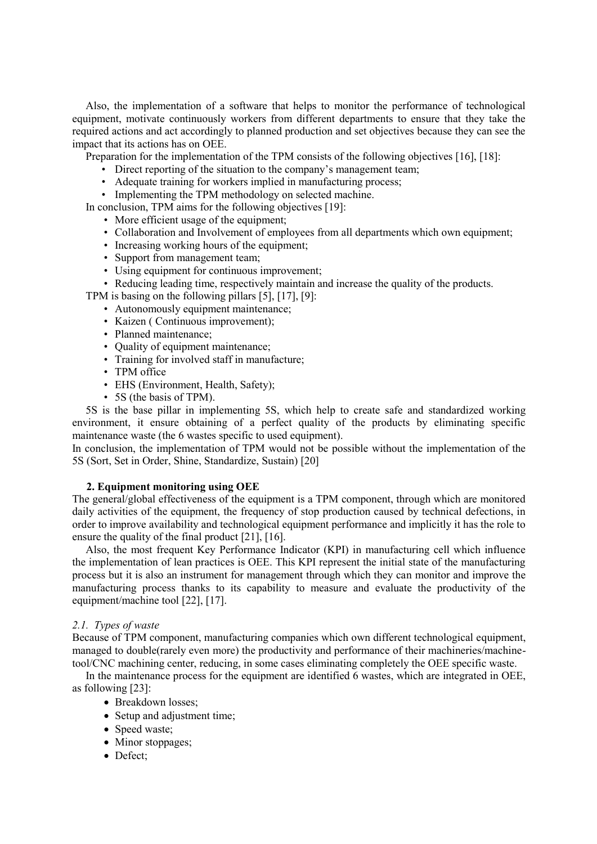Also, the implementation of a software that helps to monitor the performance of technological equipment, motivate continuously workers from different departments to ensure that they take the required actions and act accordingly to planned production and set objectives because they can see the impact that its actions has on OEE.

Preparation for the implementation of the TPM consists of the following objectives [16], [18]:

- Direct reporting of the situation to the company's management team;
- Adequate training for workers implied in manufacturing process;
- Implementing the TPM methodology on selected machine.
- In conclusion, TPM aims for the following objectives [19]:
	- More efficient usage of the equipment;
	- Collaboration and Involvement of employees from all departments which own equipment;
	- Increasing working hours of the equipment;
	- Support from management team;
	- Using equipment for continuous improvement;
	- Reducing leading time, respectively maintain and increase the quality of the products.

TPM is basing on the following pillars [5], [17], [9]:

- Autonomously equipment maintenance;
- Kaizen ( Continuous improvement);
- Planned maintenance;
- Quality of equipment maintenance;
- Training for involved staff in manufacture;
- TPM office
- EHS (Environment, Health, Safety);
- 5S (the basis of TPM).

5S is the base pillar in implementing 5S, which help to create safe and standardized working environment, it ensure obtaining of a perfect quality of the products by eliminating specific maintenance waste (the 6 wastes specific to used equipment).

In conclusion, the implementation of TPM would not be possible without the implementation of the 5S (Sort, Set in Order, Shine, Standardize, Sustain) [20]

#### **2. Equipment monitoring using OEE**

The general/global effectiveness of the equipment is a TPM component, through which are monitored daily activities of the equipment, the frequency of stop production caused by technical defections, in order to improve availability and technological equipment performance and implicitly it has the role to ensure the quality of the final product [21], [16].

Also, the most frequent Key Performance Indicator (KPI) in manufacturing cell which influence the implementation of lean practices is OEE. This KPI represent the initial state of the manufacturing process but it is also an instrument for management through which they can monitor and improve the manufacturing process thanks to its capability to measure and evaluate the productivity of the equipment/machine tool [22], [17].

#### *2.1. Types of waste*

Because of TPM component, manufacturing companies which own different technological equipment, managed to double(rarely even more) the productivity and performance of their machineries/machinetool/CNC machining center, reducing, in some cases eliminating completely the OEE specific waste.

In the maintenance process for the equipment are identified 6 wastes, which are integrated in OEE, as following [23]:

- Breakdown losses:
	- Setup and adjustment time;
	- Speed waste;
	- Minor stoppages;
	- Defect;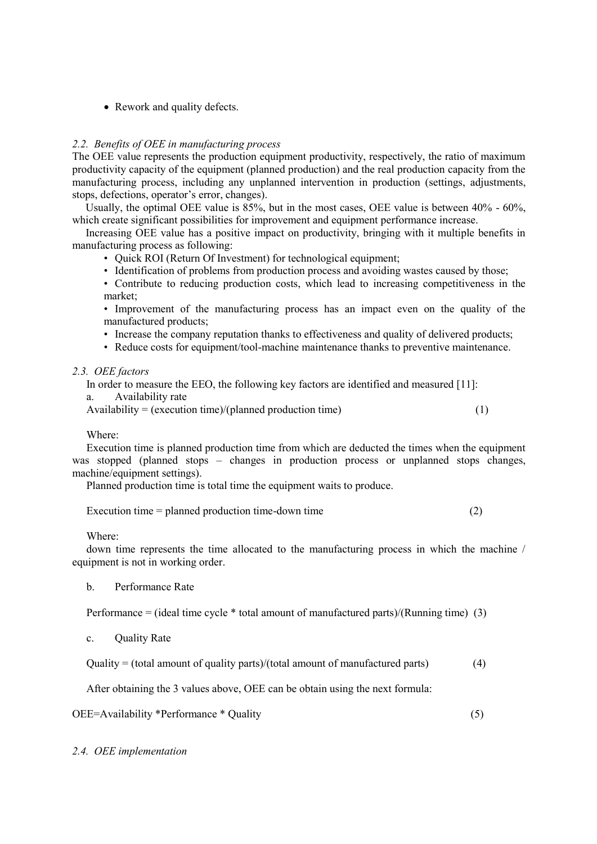• Rework and quality defects.

# *2.2. Benefits of OEE in manufacturing process*

The OEE value represents the production equipment productivity, respectively, the ratio of maximum productivity capacity of the equipment (planned production) and the real production capacity from the manufacturing process, including any unplanned intervention in production (settings, adjustments, stops, defections, operator's error, changes).

Usually, the optimal OEE value is 85%, but in the most cases, OEE value is between 40% - 60%, which create significant possibilities for improvement and equipment performance increase.

Increasing OEE value has a positive impact on productivity, bringing with it multiple benefits in manufacturing process as following:

- Quick ROI (Return Of Investment) for technological equipment;
- Identification of problems from production process and avoiding wastes caused by those;
- Contribute to reducing production costs, which lead to increasing competitiveness in the market;

• Improvement of the manufacturing process has an impact even on the quality of the manufactured products;

- Increase the company reputation thanks to effectiveness and quality of delivered products;
- Reduce costs for equipment/tool-machine maintenance thanks to preventive maintenance.

# *2.3. OEE factors*

In order to measure the EEO, the following key factors are identified and measured [11]:

a. Availability rate

Availability = (execution time)/(planned production time) (1)

# Where:

Execution time is planned production time from which are deducted the times when the equipment was stopped (planned stops – changes in production process or unplanned stops changes, machine/equipment settings).

Planned production time is total time the equipment waits to produce.

Execution time = planned production time-down time (2)

Where:

down time represents the time allocated to the manufacturing process in which the machine / equipment is not in working order.

b. Performance Rate

Performance = (ideal time cycle \* total amount of manufactured parts)/(Running time) (3)

c. Quality Rate

Quality = (total amount of quality parts)/(total amount of manufactured parts) (4)

After obtaining the 3 values above, OEE can be obtain using the next formula:

OEE=Availability \*Performance \* Quality (5)

*2.4. OEE implementation*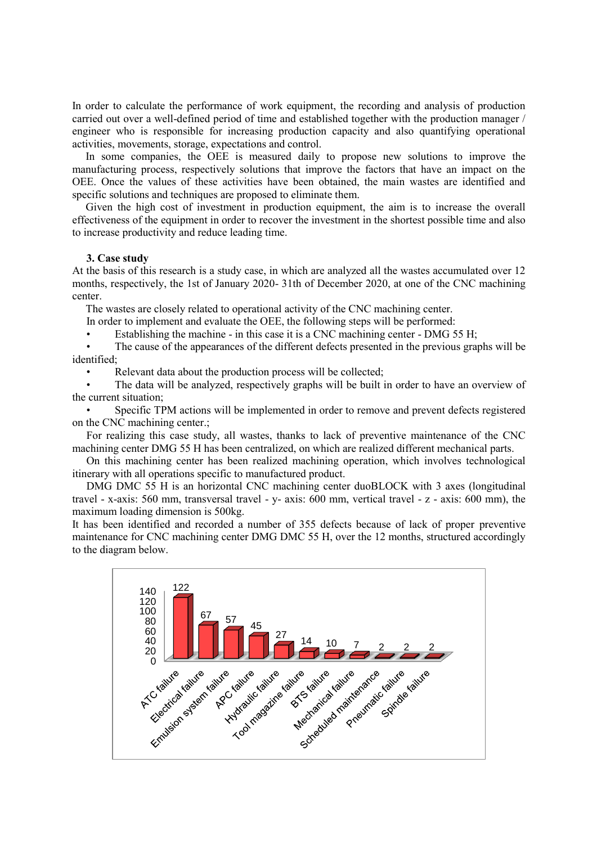In order to calculate the performance of work equipment, the recording and analysis of production carried out over a well-defined period of time and established together with the production manager / engineer who is responsible for increasing production capacity and also quantifying operational activities, movements, storage, expectations and control.

In some companies, the OEE is measured daily to propose new solutions to improve the manufacturing process, respectively solutions that improve the factors that have an impact on the OEE. Once the values of these activities have been obtained, the main wastes are identified and specific solutions and techniques are proposed to eliminate them.

Given the high cost of investment in production equipment, the aim is to increase the overall effectiveness of the equipment in order to recover the investment in the shortest possible time and also to increase productivity and reduce leading time.

## **3. Case study**

At the basis of this research is a study case, in which are analyzed all the wastes accumulated over 12 months, respectively, the 1st of January 2020- 31th of December 2020, at one of the CNC machining center.

The wastes are closely related to operational activity of the CNC machining center.

In order to implement and evaluate the OEE, the following steps will be performed:

Establishing the machine - in this case it is a CNC machining center - DMG 55 H;

• The cause of the appearances of the different defects presented in the previous graphs will be identified;

Relevant data about the production process will be collected;

• The data will be analyzed, respectively graphs will be built in order to have an overview of the current situation;

Specific TPM actions will be implemented in order to remove and prevent defects registered on the CNC machining center.;

For realizing this case study, all wastes, thanks to lack of preventive maintenance of the CNC machining center DMG 55 H has been centralized, on which are realized different mechanical parts.

On this machining center has been realized machining operation, which involves technological itinerary with all operations specific to manufactured product.

DMG DMC 55 H is an horizontal CNC machining center duoBLOCK with 3 axes (longitudinal travel - x-axis: 560 mm, transversal travel - y- axis: 600 mm, vertical travel - z - axis: 600 mm), the maximum loading dimension is 500kg.

It has been identified and recorded a number of 355 defects because of lack of proper preventive maintenance for CNC machining center DMG DMC 55 H, over the 12 months, structured accordingly to the diagram below.

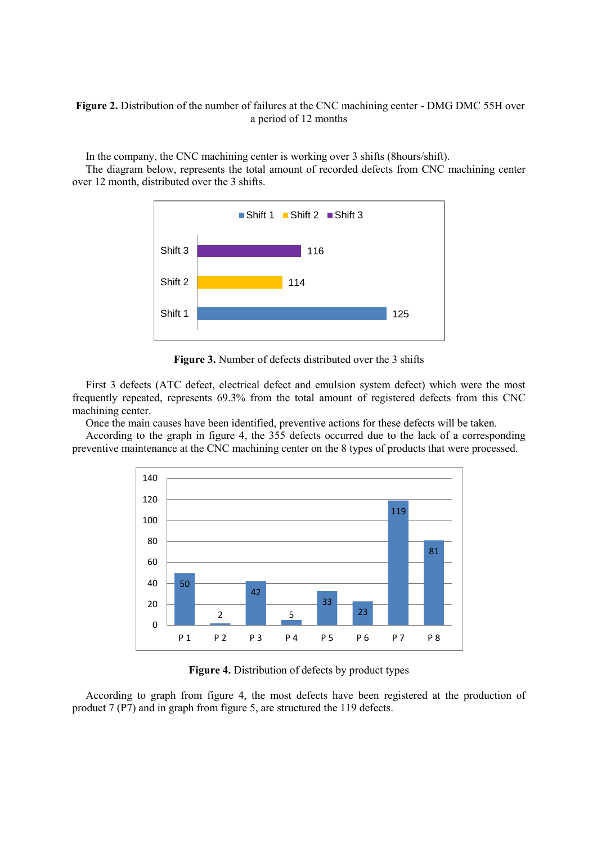# **Figure 2.** Distribution of the number of failures at the CNC machining center - DMG DMC 55H over a period of 12 months

In the company, the CNC machining center is working over 3 shifts (8hours/shift).

The diagram below, represents the total amount of recorded defects from CNC machining center over 12 month, distributed over the 3 shifts.



**Figure 3.** Number of defects distributed over the 3 shifts

First 3 defects (ATC defect, electrical defect and emulsion system defect) which were the most frequently repeated, represents 69.3% from the total amount of registered defects from this CNC machining center.

Once the main causes have been identified, preventive actions for these defects will be taken.

According to the graph in figure 4, the 355 defects occurred due to the lack of a corresponding preventive maintenance at the CNC machining center on the 8 types of products that were processed.



**Figure 4.** Distribution of defects by product types

According to graph from figure 4, the most defects have been registered at the production of product 7 (P7) and in graph from figure 5, are structured the 119 defects.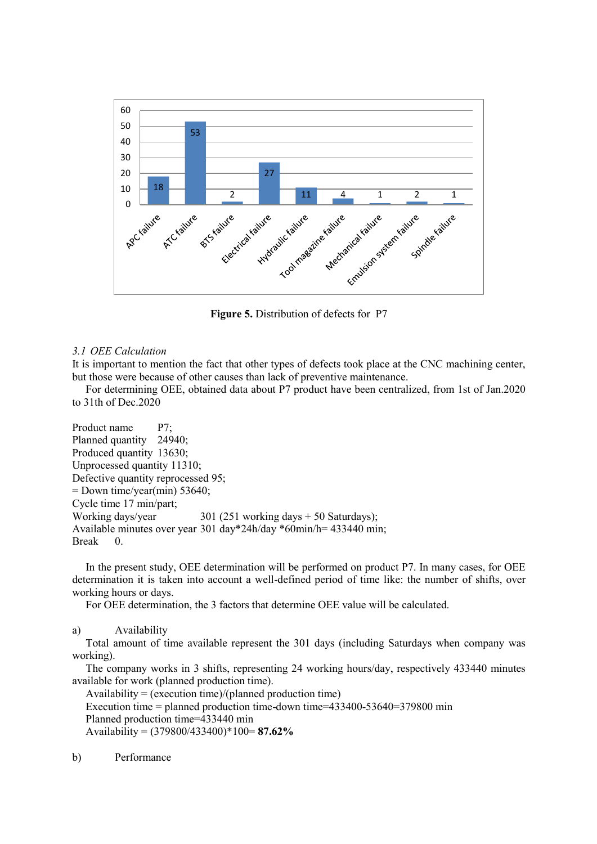

**Figure 5.** Distribution of defects for P7

## *3.1 OEE Calculation*

It is important to mention the fact that other types of defects took place at the CNC machining center, but those were because of other causes than lack of preventive maintenance.

For determining OEE, obtained data about P7 product have been centralized, from 1st of Jan.2020 to 31th of Dec.2020

Product name P7; Planned quantity 24940; Produced quantity 13630; Unprocessed quantity 11310; Defective quantity reprocessed 95;  $=$  Down time/year(min) 53640; Cycle time 17 min/part; Working days/year 301 (251 working days + 50 Saturdays); Available minutes over year 301 day\*24h/day \*60min/h= 433440 min; Break 0.

In the present study, OEE determination will be performed on product P7. In many cases, for OEE determination it is taken into account a well-defined period of time like: the number of shifts, over working hours or days.

For OEE determination, the 3 factors that determine OEE value will be calculated.

a) Availability

Total amount of time available represent the 301 days (including Saturdays when company was working).

The company works in 3 shifts, representing 24 working hours/day, respectively 433440 minutes available for work (planned production time).

Availability = (execution time)/(planned production time) Execution time = planned production time-down time=433400-53640=379800 min Planned production time=433440 min Availability = (379800/433400)\*100= **87.62%**

b) Performance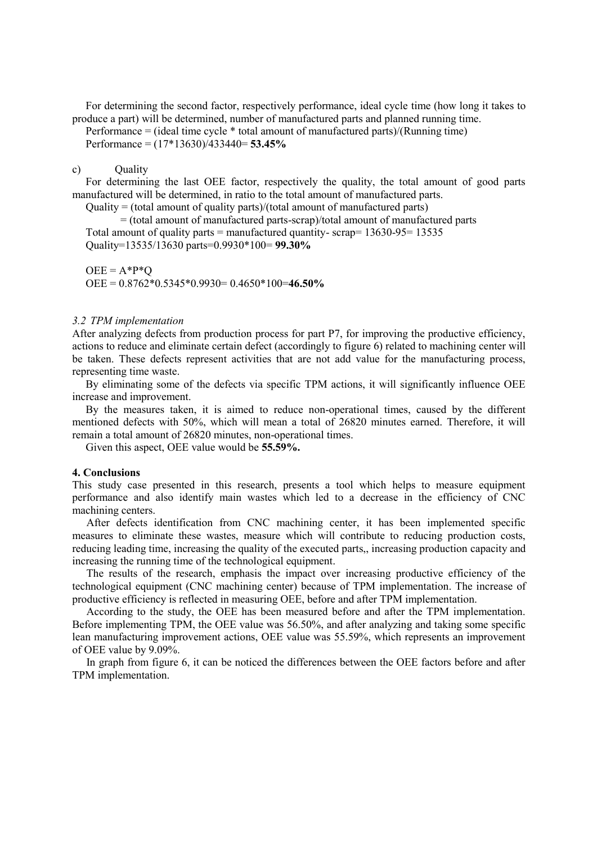For determining the second factor, respectively performance, ideal cycle time (how long it takes to produce a part) will be determined, number of manufactured parts and planned running time.

Performance = (ideal time cycle \* total amount of manufactured parts)/(Running time) Performance = (17\*13630)/433440= **53.45%**

## c) Quality

For determining the last OEE factor, respectively the quality, the total amount of good parts manufactured will be determined, in ratio to the total amount of manufactured parts.

Quality = (total amount of quality parts)/(total amount of manufactured parts)

= (total amount of manufactured parts-scrap)/total amount of manufactured parts Total amount of quality parts = manufactured quantity- scrap=  $13630-95= 13535$ Quality=13535/13630 parts=0.9930\*100= **99.30%**

 $OEE = A^*P^*O$ OEE = 0.8762\*0.5345\*0.9930= 0.4650\*100=**46.50%**

#### *3.2 TPM implementation*

After analyzing defects from production process for part P7, for improving the productive efficiency, actions to reduce and eliminate certain defect (accordingly to figure 6) related to machining center will be taken. These defects represent activities that are not add value for the manufacturing process, representing time waste.

By eliminating some of the defects via specific TPM actions, it will significantly influence OEE increase and improvement.

By the measures taken, it is aimed to reduce non-operational times, caused by the different mentioned defects with 50%, which will mean a total of 26820 minutes earned. Therefore, it will remain a total amount of 26820 minutes, non-operational times.

Given this aspect, OEE value would be **55.59%.**

#### **4. Conclusions**

This study case presented in this research, presents a tool which helps to measure equipment performance and also identify main wastes which led to a decrease in the efficiency of CNC machining centers.

After defects identification from CNC machining center, it has been implemented specific measures to eliminate these wastes, measure which will contribute to reducing production costs, reducing leading time, increasing the quality of the executed parts,, increasing production capacity and increasing the running time of the technological equipment.

The results of the research, emphasis the impact over increasing productive efficiency of the technological equipment (CNC machining center) because of TPM implementation. The increase of productive efficiency is reflected in measuring OEE, before and after TPM implementation.

According to the study, the OEE has been measured before and after the TPM implementation. Before implementing TPM, the OEE value was 56.50%, and after analyzing and taking some specific lean manufacturing improvement actions, OEE value was 55.59%, which represents an improvement of OEE value by 9.09%.

In graph from figure 6, it can be noticed the differences between the OEE factors before and after TPM implementation.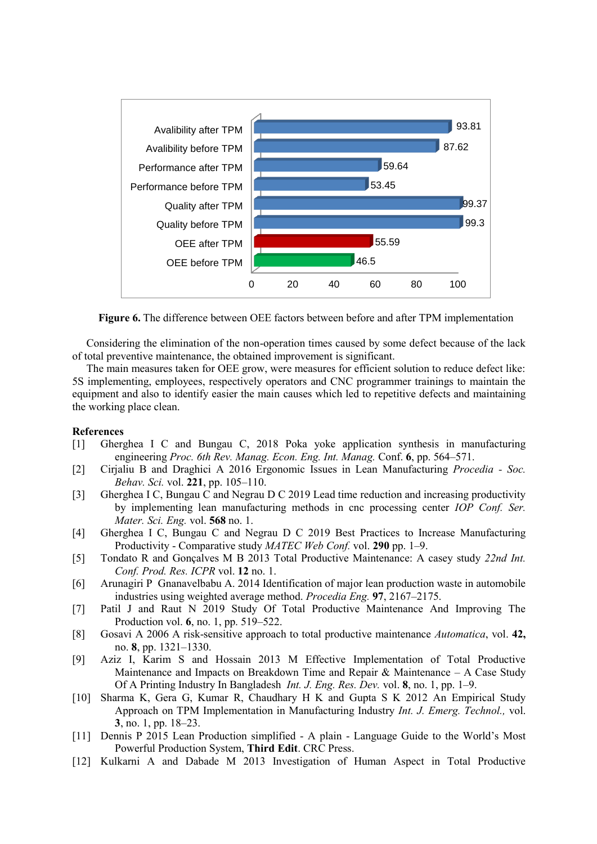

**Figure 6.** The difference between OEE factors between before and after TPM implementation

Considering the elimination of the non-operation times caused by some defect because of the lack of total preventive maintenance, the obtained improvement is significant.

The main measures taken for OEE grow, were measures for efficient solution to reduce defect like: 5S implementing, employees, respectively operators and CNC programmer trainings to maintain the equipment and also to identify easier the main causes which led to repetitive defects and maintaining the working place clean.

#### **References**

- [1] Gherghea I C and Bungau C, 2018 Poka yoke application synthesis in manufacturing engineering *Proc. 6th Rev. Manag. Econ. Eng. Int. Manag.* Conf. **6**, pp. 564–571.
- [2] Cirjaliu B and Draghici A 2016 Ergonomic Issues in Lean Manufacturing *Procedia - Soc. Behav. Sci.* vol. **221**, pp. 105–110.
- [3] Gherghea I C, Bungau C and Negrau D C 2019 Lead time reduction and increasing productivity by implementing lean manufacturing methods in cnc processing center *IOP Conf. Ser. Mater. Sci. Eng.* vol. **568** no. 1.
- [4] Gherghea I C, Bungau C and Negrau D C 2019 Best Practices to Increase Manufacturing Productivity - Comparative study *MATEC Web Conf.* vol. **290** pp. 1–9.
- [5] Tondato R and Gonçalves M B 2013 Total Productive Maintenance: A casey study *22nd Int. Conf. Prod. Res. ICPR* vol. **12** no. 1.
- [6] Arunagiri P Gnanavelbabu A. 2014 Identification of major lean production waste in automobile industries using weighted average method. *Procedia Eng.* **97**, 2167–2175.
- [7] Patil J and Raut N 2019 Study Of Total Productive Maintenance And Improving The Production vol. **6**, no. 1, pp. 519–522.
- [8] Gosavi A 2006 A risk-sensitive approach to total productive maintenance *Automatica*, vol. **42,** no. **8**, pp. 1321–1330.
- [9] Aziz I, Karim S and Hossain 2013 M Effective Implementation of Total Productive Maintenance and Impacts on Breakdown Time and Repair  $\&$  Maintenance – A Case Study Of A Printing Industry In Bangladesh *Int. J. Eng. Res. Dev.* vol. **8**, no. 1, pp. 1–9.
- [10] Sharma K, Gera G, Kumar R, Chaudhary H K and Gupta S K 2012 An Empirical Study Approach on TPM Implementation in Manufacturing Industry *Int. J. Emerg. Technol.,* vol. **3**, no. 1, pp. 18–23.
- [11] Dennis P 2015 Lean Production simplified A plain Language Guide to the World's Most Powerful Production System, **Third Edit**. CRC Press.
- [12] Kulkarni A and Dabade M 2013 Investigation of Human Aspect in Total Productive